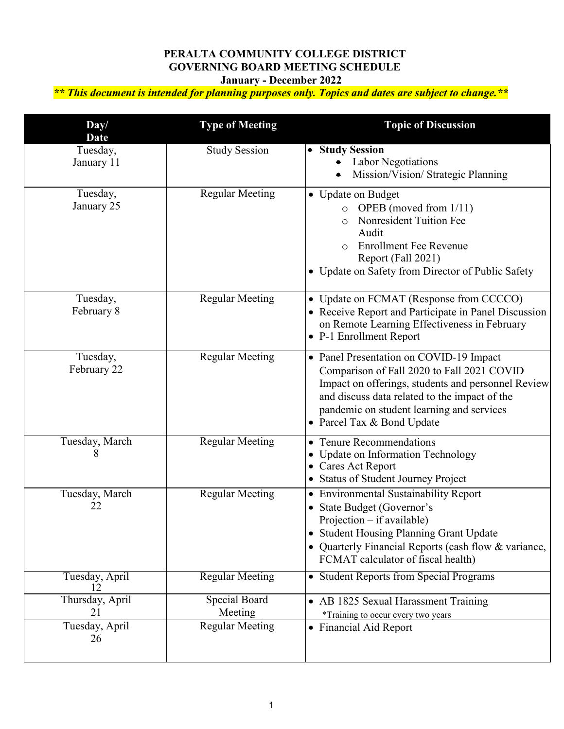## **PERALTA COMMUNITY COLLEGE DISTRICT GOVERNING BOARD MEETING SCHEDULE January - December 2022**

 *\*\* This document is intended for planning purposes only. Topics and dates are subject to change.\*\** 

| Day/<br><b>Date</b>                           | <b>Type of Meeting</b>                             | <b>Topic of Discussion</b>                                                                                                                                                                                                                                                 |
|-----------------------------------------------|----------------------------------------------------|----------------------------------------------------------------------------------------------------------------------------------------------------------------------------------------------------------------------------------------------------------------------------|
| Tuesday,<br>January 11                        | <b>Study Session</b>                               | • Study Session<br><b>Labor Negotiations</b><br>Mission/Vision/ Strategic Planning                                                                                                                                                                                         |
| Tuesday,<br>January 25                        | <b>Regular Meeting</b>                             | • Update on Budget<br>OPEB (moved from 1/11)<br>$\circ$<br>Nonresident Tuition Fee<br>Audit<br><b>Enrollment Fee Revenue</b><br>$\Omega$<br>Report (Fall 2021)<br>• Update on Safety from Director of Public Safety                                                        |
| Tuesday,<br>February 8                        | <b>Regular Meeting</b>                             | • Update on FCMAT (Response from CCCCO)<br>• Receive Report and Participate in Panel Discussion<br>on Remote Learning Effectiveness in February<br>• P-1 Enrollment Report                                                                                                 |
| Tuesday,<br>February 22                       | <b>Regular Meeting</b>                             | • Panel Presentation on COVID-19 Impact<br>Comparison of Fall 2020 to Fall 2021 COVID<br>Impact on offerings, students and personnel Review<br>and discuss data related to the impact of the<br>pandemic on student learning and services<br>• Parcel Tax & Bond Update    |
| Tuesday, March<br>8                           | <b>Regular Meeting</b>                             | • Tenure Recommendations<br>Update on Information Technology<br><b>Cares Act Report</b><br>• Status of Student Journey Project                                                                                                                                             |
| Tuesday, March<br>22                          | <b>Regular Meeting</b>                             | <b>Environmental Sustainability Report</b><br>$\bullet$<br>State Budget (Governor's<br>Projection – if available)<br><b>Student Housing Planning Grant Update</b><br>$\bullet$<br>Quarterly Financial Reports (cash flow & variance,<br>FCMAT calculator of fiscal health) |
| Tuesday, April                                | <b>Regular Meeting</b>                             | • Student Reports from Special Programs                                                                                                                                                                                                                                    |
| Thursday, April<br>21<br>Tuesday, April<br>26 | Special Board<br>Meeting<br><b>Regular Meeting</b> | • AB 1825 Sexual Harassment Training<br>*Training to occur every two years<br>• Financial Aid Report                                                                                                                                                                       |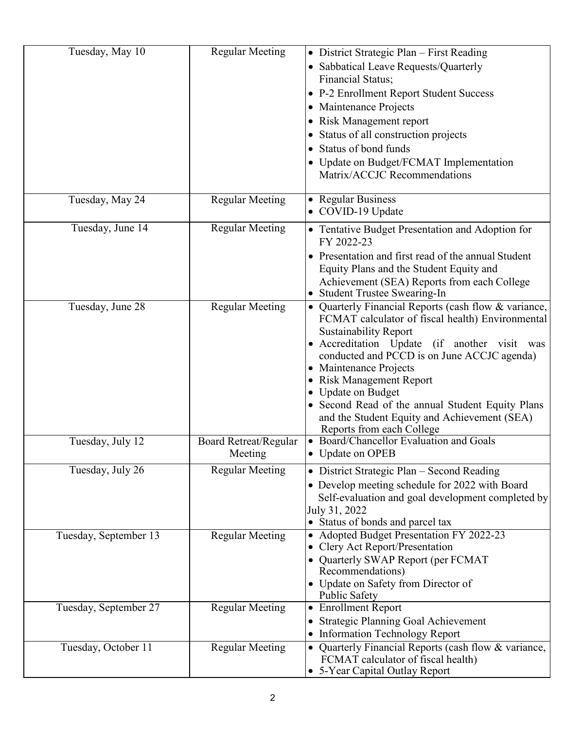| Tuesday, May 10       | <b>Regular Meeting</b>           | • District Strategic Plan – First Reading<br>• Sabbatical Leave Requests/Quarterly<br>Financial Status;<br>• P-2 Enrollment Report Student Success<br>Maintenance Projects<br>Risk Management report<br>Status of all construction projects<br>Status of bond funds<br>Update on Budget/FCMAT Implementation<br>Matrix/ACCJC Recommendations                                                                                                                          |
|-----------------------|----------------------------------|-----------------------------------------------------------------------------------------------------------------------------------------------------------------------------------------------------------------------------------------------------------------------------------------------------------------------------------------------------------------------------------------------------------------------------------------------------------------------|
| Tuesday, May 24       | <b>Regular Meeting</b>           | • Regular Business<br>• COVID-19 Update                                                                                                                                                                                                                                                                                                                                                                                                                               |
| Tuesday, June 14      | <b>Regular Meeting</b>           | • Tentative Budget Presentation and Adoption for<br>FY 2022-23<br>Presentation and first read of the annual Student<br>Equity Plans and the Student Equity and<br>Achievement (SEA) Reports from each College<br><b>Student Trustee Swearing-In</b>                                                                                                                                                                                                                   |
| Tuesday, June 28      | <b>Regular Meeting</b>           | • Quarterly Financial Reports (cash flow & variance,<br>FCMAT calculator of fiscal health) Environmental<br><b>Sustainability Report</b><br>Accreditation Update (if another visit was<br>conducted and PCCD is on June ACCJC agenda)<br>Maintenance Projects<br>$\bullet$<br><b>Risk Management Report</b><br><b>Update on Budget</b><br>Second Read of the annual Student Equity Plans<br>and the Student Equity and Achievement (SEA)<br>Reports from each College |
| Tuesday, July 12      | Board Retreat/Regular<br>Meeting | Board/Chancellor Evaluation and Goals<br>• Update on OPEB                                                                                                                                                                                                                                                                                                                                                                                                             |
| Tuesday, July 26      | <b>Regular Meeting</b>           | • District Strategic Plan – Second Reading<br>• Develop meeting schedule for 2022 with Board<br>Self-evaluation and goal development completed by<br>July 31, 2022<br>• Status of bonds and parcel tax                                                                                                                                                                                                                                                                |
| Tuesday, September 13 | <b>Regular Meeting</b>           | Adopted Budget Presentation FY 2022-23<br>Clery Act Report/Presentation<br>Quarterly SWAP Report (per FCMAT<br>Recommendations)<br>Update on Safety from Director of<br><b>Public Safety</b>                                                                                                                                                                                                                                                                          |
| Tuesday, September 27 | <b>Regular Meeting</b>           | <b>Enrollment Report</b><br><b>Strategic Planning Goal Achievement</b><br><b>Information Technology Report</b>                                                                                                                                                                                                                                                                                                                                                        |
| Tuesday, October 11   | <b>Regular Meeting</b>           | Quarterly Financial Reports (cash flow & variance,<br>FCMAT calculator of fiscal health)<br>5-Year Capital Outlay Report                                                                                                                                                                                                                                                                                                                                              |